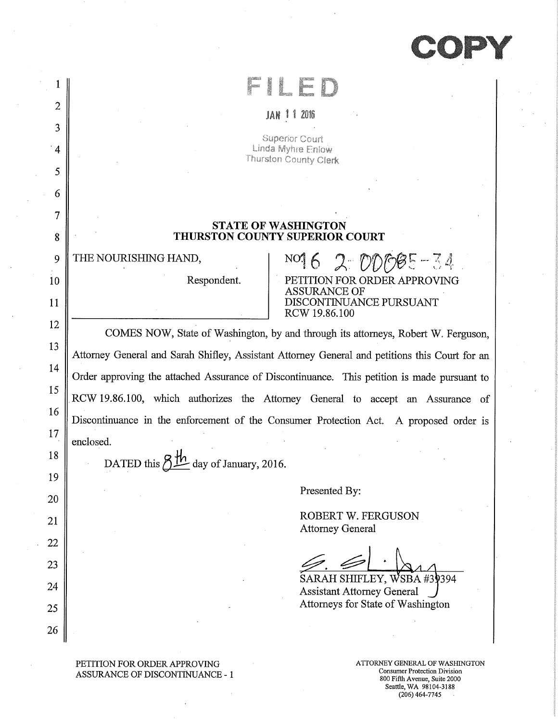**"OPY** 

| 2              | -2016<br>JAN 1                                                                                     |  |  |  |
|----------------|----------------------------------------------------------------------------------------------------|--|--|--|
| 3              |                                                                                                    |  |  |  |
| $\overline{4}$ | Superior Court<br>Linda Myhre Enlow<br>Thurston County Clerk                                       |  |  |  |
| 5              |                                                                                                    |  |  |  |
| 6              |                                                                                                    |  |  |  |
| 7              |                                                                                                    |  |  |  |
| 8              | <b>STATE OF WASHINGTON</b><br>THURSTON COUNTY SUPERIOR COURT                                       |  |  |  |
| 9              | THE NOURISHING HAND,<br>$N0162000085 - 34$                                                         |  |  |  |
| 10             | <b>TON FOR ORDER APPROVING</b><br>Respondent.<br><b>ASSURANCE OF</b>                               |  |  |  |
| 11             | DISCONTINUANCE PURSUANT<br>RCW 19.86.100                                                           |  |  |  |
| 12             | COMES NOW, State of Washington, by and through its attorneys, Robert W. Ferguson,                  |  |  |  |
| 13             | Attorney General and Sarah Shifley, Assistant Attorney General and petitions this Court for an     |  |  |  |
| 14             |                                                                                                    |  |  |  |
| 15             | Order approving the attached Assurance of Discontinuance. This petition is made pursuant to        |  |  |  |
| 16             | RCW 19.86.100, which authorizes the Attorney General to accept an Assurance of                     |  |  |  |
| 17             | Discontinuance in the enforcement of the Consumer Protection Act. A proposed order is<br>enclosed. |  |  |  |
| 18             |                                                                                                    |  |  |  |
| 19             | DATED this<br>$\frac{\mu}{\epsilon}$ day of January, 2016.                                         |  |  |  |
| 20             | Presented By:                                                                                      |  |  |  |
| 21             | ROBERT W. FERGUSON                                                                                 |  |  |  |
| 22             | <b>Attorney General</b>                                                                            |  |  |  |
| 23             |                                                                                                    |  |  |  |
| 24             | SARAH SHIFLEY, WSBA #39394                                                                         |  |  |  |
| 25             | <b>Assistant Attorney General</b><br>Attorneys for State of Washington                             |  |  |  |
| 26             |                                                                                                    |  |  |  |
|                |                                                                                                    |  |  |  |

PETITION FOR ORDER APPROVING ATTORNEY GENERAL OF WASHINGTON ASSURANCE OF DISCONTINUANCE - 1

 $\bar{\star}$ 

 $\bar{\gamma}$ 

800 Fifth Avenue, Suite 2000 Seattle, WA 98104-3188 (206)464-7745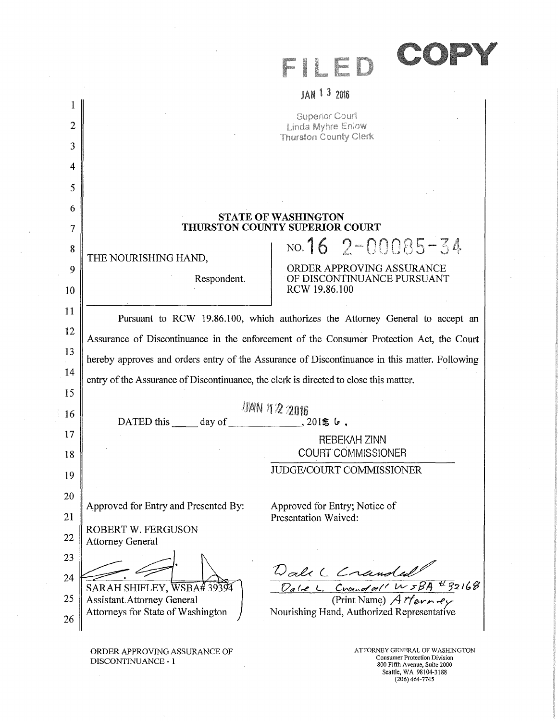|        | JAN 1 3 2016                                                                                  |  |  |
|--------|-----------------------------------------------------------------------------------------------|--|--|
| 1      | <b>Superior Court</b>                                                                         |  |  |
| 2      | Linda Myhre Enlow<br><b>Thurston County Clerk</b>                                             |  |  |
| 3      |                                                                                               |  |  |
| 4      |                                                                                               |  |  |
| 5      |                                                                                               |  |  |
| 6<br>7 | <b>STATE OF WASHINGTON</b><br>THURSTON COUNTY SUPERIOR COURT                                  |  |  |
| 8      | NO. 16 $2 - 00085 - 34$<br>THE NOURISHING HAND,                                               |  |  |
| 9      | ORDER APPROVING ASSURANCE<br>OF DISCONTINUANCE PURSUANT                                       |  |  |
| 10     | Respondent.<br>RCW 19.86.100                                                                  |  |  |
| 11     | Pursuant to RCW 19.86.100, which authorizes the Attorney General to accept an                 |  |  |
| 12     | Assurance of Discontinuance in the enforcement of the Consumer Protection Act, the Court      |  |  |
| 13     | hereby approves and orders entry of the Assurance of Discontinuance in this matter. Following |  |  |
| 14     | entry of the Assurance of Discontinuance, the clerk is directed to close this matter.         |  |  |
| 15     |                                                                                               |  |  |
| 16     | <b>JAN 112 2016</b><br>$, 201$ $\leq 6$ ,<br>DATED this day of                                |  |  |
| 17     | <b>REBEKAH ZINN</b>                                                                           |  |  |
| 18     | <b>COURT COMMISSIONER</b>                                                                     |  |  |
| 19     | <b>JUDGE/COURT COMMISSIONER</b>                                                               |  |  |
| 20     |                                                                                               |  |  |
| 21     | Approved for Entry and Presented By:<br>Approved for Entry; Notice of<br>Presentation Waived: |  |  |
| 22     | <b>ROBERT W. FERGUSON</b><br><b>Attorney General</b>                                          |  |  |
| 23     |                                                                                               |  |  |
| 24     | Dalx L Crandal 1<br>Dale L. Crandall W 5BA #32168                                             |  |  |
| 25     | SARAH SHIFLEY, WSBA# 39394<br>(Print Name) Atterney<br><b>Assistant Attorney General</b>      |  |  |
| 26     | Nourishing Hand, Authorized Representative<br>Attorneys for State of Washington               |  |  |
|        |                                                                                               |  |  |

ORDER APPROVING ASSURANCE OF DISCONTINUANCE - 1

 $\sim$ 

 $\sim$ 

ATTORNEY GENERAL OF WASHINGTON Consumer Protection Division 800 Fifth Avenue, Suite 2000 Seattle, WA 98104-3188<br>(206) 464-7745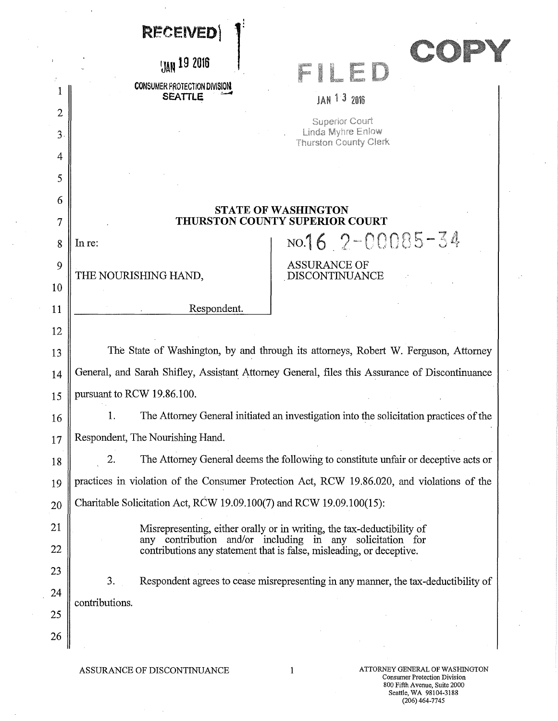|    | <b>RECEIVED</b>                                                                                                                   |                                                                                             |  |  |
|----|-----------------------------------------------------------------------------------------------------------------------------------|---------------------------------------------------------------------------------------------|--|--|
|    | <b>JAN 19 2016</b>                                                                                                                |                                                                                             |  |  |
|    | <b>CONSUMER PROTECTION DIVISION</b>                                                                                               |                                                                                             |  |  |
| 2  | <b>SEATTLE</b>                                                                                                                    | JAN 1 3 2016                                                                                |  |  |
| 3  |                                                                                                                                   | <b>Superior Court</b><br>Linda Myhre Enlow                                                  |  |  |
| 4  |                                                                                                                                   | <b>Thurston County Clerk</b>                                                                |  |  |
| 5  |                                                                                                                                   |                                                                                             |  |  |
| 6  |                                                                                                                                   |                                                                                             |  |  |
| 7  | <b>STATE OF WASHINGTON</b><br>THURSTON COUNTY SUPERIOR COURT                                                                      |                                                                                             |  |  |
| 8  | In re:                                                                                                                            | NO.16 $2 - 00085 - 34$                                                                      |  |  |
| 9  | THE NOURISHING HAND,                                                                                                              | <b>ASSURANCE OF</b><br>DISCONTINUANCE                                                       |  |  |
| 10 |                                                                                                                                   |                                                                                             |  |  |
| 11 | Respondent.                                                                                                                       |                                                                                             |  |  |
| 12 |                                                                                                                                   |                                                                                             |  |  |
| 13 | The State of Washington, by and through its attorneys, Robert W. Ferguson, Attorney                                               |                                                                                             |  |  |
| 14 | General, and Sarah Shifley, Assistant Attorney General, files this Assurance of Discontinuance                                    |                                                                                             |  |  |
| 15 | pursuant to RCW 19.86.100.                                                                                                        |                                                                                             |  |  |
| 16 |                                                                                                                                   | The Attorney General initiated an investigation into the solicitation practices of the      |  |  |
| 17 | Respondent, The Nourishing Hand.                                                                                                  |                                                                                             |  |  |
| 18 | 2.                                                                                                                                | The Attorney General deems the following to constitute unfair or deceptive acts or          |  |  |
| 19 |                                                                                                                                   | practices in violation of the Consumer Protection Act, RCW 19.86.020, and violations of the |  |  |
| 20 | Charitable Solicitation Act, RCW 19.09.100(7) and RCW 19.09.100(15):                                                              |                                                                                             |  |  |
| 21 |                                                                                                                                   | Misrepresenting, either orally or in writing, the tax-deductibility of                      |  |  |
| 22 | any contribution and/or including in any solicitation for<br>contributions any statement that is false, misleading, or deceptive. |                                                                                             |  |  |
| 23 |                                                                                                                                   |                                                                                             |  |  |
| 24 | 3.                                                                                                                                | Respondent agrees to cease misrepresenting in any manner, the tax-deductibility of          |  |  |
| 25 | contributions.                                                                                                                    |                                                                                             |  |  |
| 26 |                                                                                                                                   |                                                                                             |  |  |
|    |                                                                                                                                   |                                                                                             |  |  |

 $\bar{\gamma}$ 

 $\ddot{\phantom{a}}$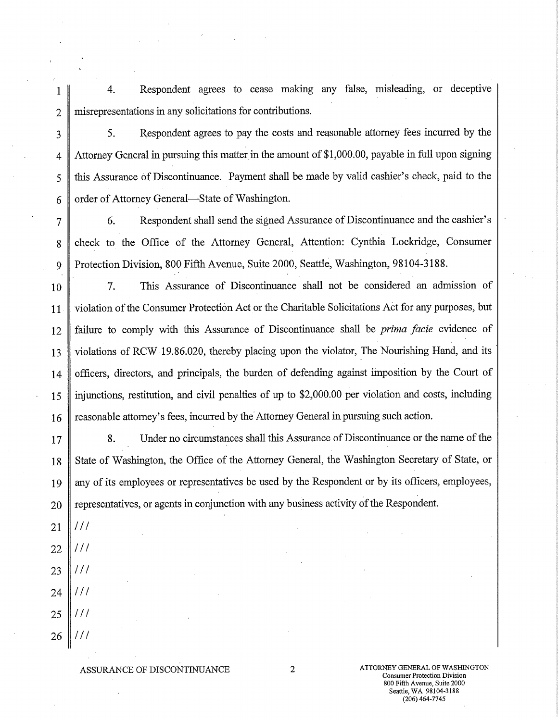1 4. Respondent agrees to cease making any false, misleading, or deceptive 2 misrepresentations in any solicitations for contributions.

3 5. Respondent agrees to pay the costs and reasonable attorney fees incurred by the 4 Attorney General in pursuing this matter in the amount of \$1,000.00, payable in full upon signing 5 this Assurance of Discontinuance. Payment shall be made by valid cashier's check, paid to the 6  $\parallel$  order of Attorney General—State of Washington.

7 6. Respondent shall send the signed Assurance of Discontinuance and the cashier's 8 check to the Office of the Attorney General, Attention: Cynthia Lockridge, Consumer 9 Protection Division, 800 Fifth Avenue, Suite 2000, Seattle, Washington, 98104-3188.

10 7. This Assurance of Discontinuance shall not be considered an admission of 11 Violation of the Consumer Protection Act or the Charitable Solicitations Act for any purposes, but 12 failure to comply with this Assurance of Discontinuance shall be *prima facie* evidence of 13 violations of RCW 19.86.020, thereby placing upon the violator, The Nourishing Hand, and its 14 officers, directors, and principals, the burden of defending against imposition by the Court of 15 injunctions, restitution, and civil penalties of up to \$2,000.00 per violation and costs, including  $16 \parallel$  reasonable attorney's fees, incurred by the Attorney General in pursuing such action.

17 8. Under no circumstances shall this Assurance of Discontinuance or the name of the 18 State of Washington, the Office of the Attorney General, the Washington Secretary of State, or 19 any of its employees or representatives be used by the Respondent or by its officers, employees,  $20 \parallel$  representatives, or agents in conjunction with any business activity of the Respondent.

- *21 /Il*
- $111$ 22
- 23  $111$
- 24  $111$
- 25  $111$
- 26